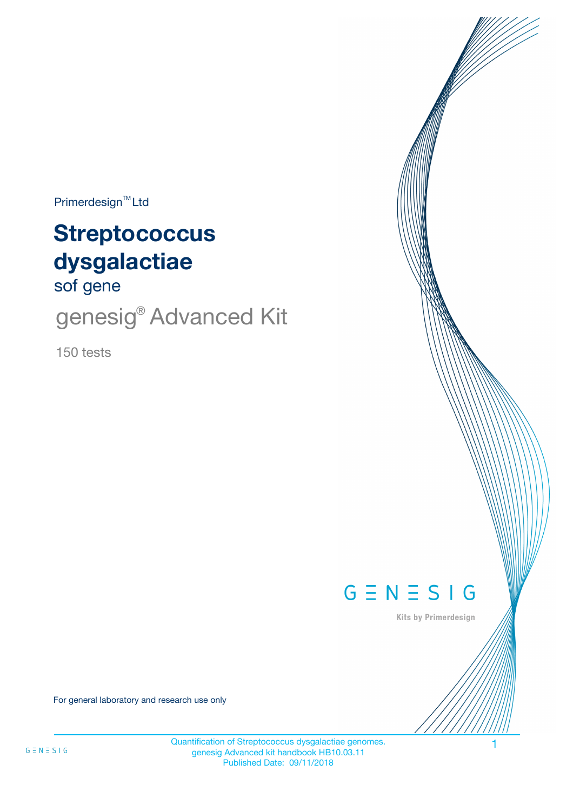Primerdesign<sup>™</sup>Ltd

# **Streptococcus dysgalactiae**

sof gene

genesig® Advanced Kit

150 tests



Kits by Primerdesign

For general laboratory and research use only

Quantification of Streptococcus dysgalactiae genomes. 1 genesig Advanced kit handbook HB10.03.11 Published Date: 09/11/2018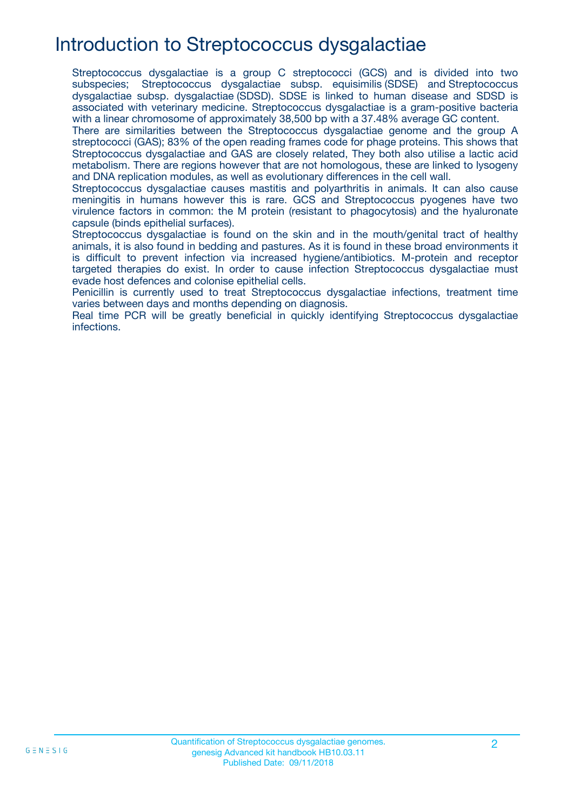# Introduction to Streptococcus dysgalactiae

Streptococcus dysgalactiae is a group C streptococci (GCS) and is divided into two subspecies; Streptococcus dysgalactiae subsp. equisimilis (SDSE) and Streptococcus dysgalactiae subsp. dysgalactiae (SDSD). SDSE is linked to human disease and SDSD is associated with veterinary medicine. Streptococcus dysgalactiae is a gram-positive bacteria with a linear chromosome of approximately 38,500 bp with a 37.48% average GC content.

There are similarities between the Streptococcus dysgalactiae genome and the group A streptococci (GAS); 83% of the open reading frames code for phage proteins. This shows that Streptococcus dysgalactiae and GAS are closely related, They both also utilise a lactic acid metabolism. There are regions however that are not homologous, these are linked to lysogeny and DNA replication modules, as well as evolutionary differences in the cell wall.

Streptococcus dysgalactiae causes mastitis and polyarthritis in animals. It can also cause meningitis in humans however this is rare. GCS and Streptococcus pyogenes have two virulence factors in common: the M protein (resistant to phagocytosis) and the hyaluronate capsule (binds epithelial surfaces).

Streptococcus dysgalactiae is found on the skin and in the mouth/genital tract of healthy animals, it is also found in bedding and pastures. As it is found in these broad environments it is difficult to prevent infection via increased hygiene/antibiotics. M-protein and receptor targeted therapies do exist. In order to cause infection Streptococcus dysgalactiae must evade host defences and colonise epithelial cells.

Penicillin is currently used to treat Streptococcus dysgalactiae infections, treatment time varies between days and months depending on diagnosis.

Real time PCR will be greatly beneficial in quickly identifying Streptococcus dysgalactiae infections.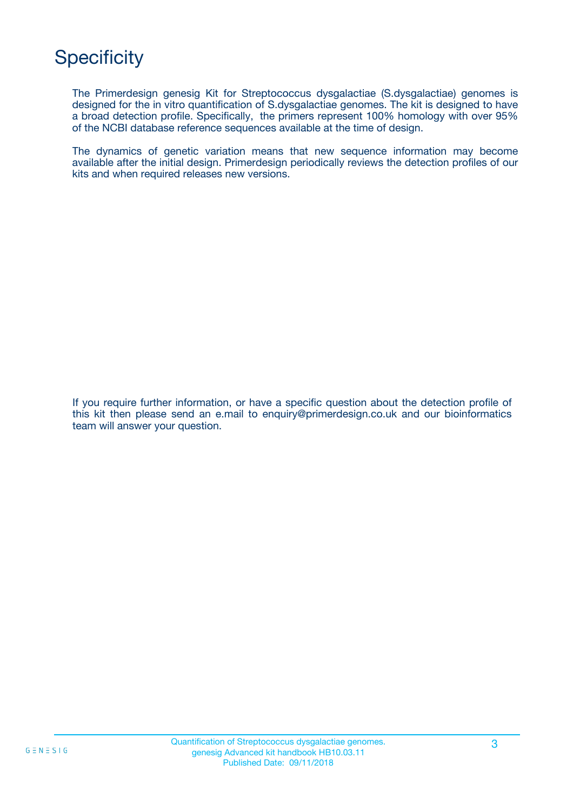# **Specificity**

The Primerdesign genesig Kit for Streptococcus dysgalactiae (S.dysgalactiae) genomes is designed for the in vitro quantification of S.dysgalactiae genomes. The kit is designed to have a broad detection profile. Specifically, the primers represent 100% homology with over 95% of the NCBI database reference sequences available at the time of design.

The dynamics of genetic variation means that new sequence information may become available after the initial design. Primerdesign periodically reviews the detection profiles of our kits and when required releases new versions.

If you require further information, or have a specific question about the detection profile of this kit then please send an e.mail to enquiry@primerdesign.co.uk and our bioinformatics team will answer your question.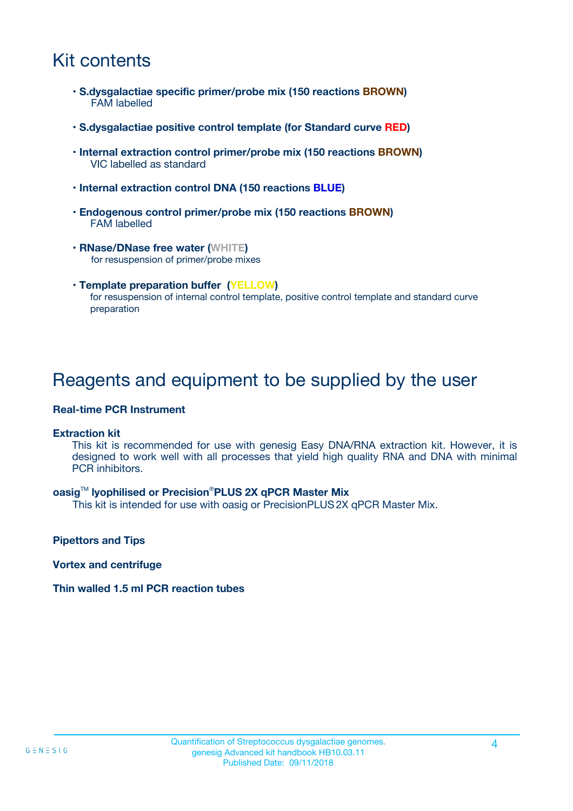# Kit contents

- **S.dysgalactiae specific primer/probe mix (150 reactions BROWN)** FAM labelled
- **S.dysgalactiae positive control template (for Standard curve RED)**
- **Internal extraction control primer/probe mix (150 reactions BROWN)** VIC labelled as standard
- **Internal extraction control DNA (150 reactions BLUE)**
- **Endogenous control primer/probe mix (150 reactions BROWN)** FAM labelled
- **RNase/DNase free water (WHITE)** for resuspension of primer/probe mixes
- **Template preparation buffer (YELLOW)** for resuspension of internal control template, positive control template and standard curve preparation

### Reagents and equipment to be supplied by the user

#### **Real-time PCR Instrument**

#### **Extraction kit**

This kit is recommended for use with genesig Easy DNA/RNA extraction kit. However, it is designed to work well with all processes that yield high quality RNA and DNA with minimal PCR inhibitors.

#### **oasig**TM **lyophilised or Precision**®**PLUS 2X qPCR Master Mix**

This kit is intended for use with oasig or PrecisionPLUS2X qPCR Master Mix.

**Pipettors and Tips**

**Vortex and centrifuge**

#### **Thin walled 1.5 ml PCR reaction tubes**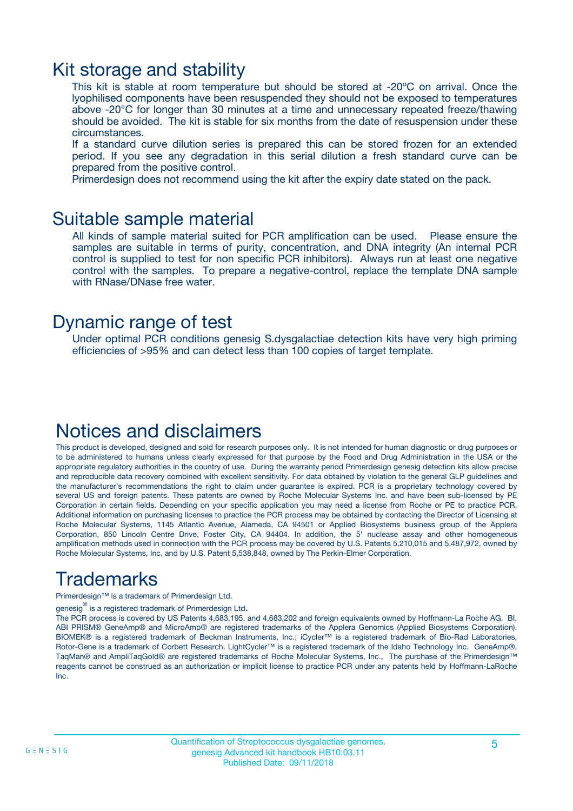### Kit storage and stability

This kit is stable at room temperature but should be stored at -20ºC on arrival. Once the lyophilised components have been resuspended they should not be exposed to temperatures above -20°C for longer than 30 minutes at a time and unnecessary repeated freeze/thawing should be avoided. The kit is stable for six months from the date of resuspension under these circumstances.

If a standard curve dilution series is prepared this can be stored frozen for an extended period. If you see any degradation in this serial dilution a fresh standard curve can be prepared from the positive control.

Primerdesign does not recommend using the kit after the expiry date stated on the pack.

### Suitable sample material

All kinds of sample material suited for PCR amplification can be used. Please ensure the samples are suitable in terms of purity, concentration, and DNA integrity (An internal PCR control is supplied to test for non specific PCR inhibitors). Always run at least one negative control with the samples. To prepare a negative-control, replace the template DNA sample with RNase/DNase free water.

### Dynamic range of test

Under optimal PCR conditions genesig S.dysgalactiae detection kits have very high priming efficiencies of >95% and can detect less than 100 copies of target template.

### Notices and disclaimers

This product is developed, designed and sold for research purposes only. It is not intended for human diagnostic or drug purposes or to be administered to humans unless clearly expressed for that purpose by the Food and Drug Administration in the USA or the appropriate regulatory authorities in the country of use. During the warranty period Primerdesign genesig detection kits allow precise and reproducible data recovery combined with excellent sensitivity. For data obtained by violation to the general GLP guidelines and the manufacturer's recommendations the right to claim under guarantee is expired. PCR is a proprietary technology covered by several US and foreign patents. These patents are owned by Roche Molecular Systems Inc. and have been sub-licensed by PE Corporation in certain fields. Depending on your specific application you may need a license from Roche or PE to practice PCR. Additional information on purchasing licenses to practice the PCR process may be obtained by contacting the Director of Licensing at Roche Molecular Systems, 1145 Atlantic Avenue, Alameda, CA 94501 or Applied Biosystems business group of the Applera Corporation, 850 Lincoln Centre Drive, Foster City, CA 94404. In addition, the 5' nuclease assay and other homogeneous amplification methods used in connection with the PCR process may be covered by U.S. Patents 5,210,015 and 5,487,972, owned by Roche Molecular Systems, Inc, and by U.S. Patent 5,538,848, owned by The Perkin-Elmer Corporation.

# Trademarks

Primerdesign™ is a trademark of Primerdesign Ltd.

genesig $^\circledR$  is a registered trademark of Primerdesign Ltd.

The PCR process is covered by US Patents 4,683,195, and 4,683,202 and foreign equivalents owned by Hoffmann-La Roche AG. BI, ABI PRISM® GeneAmp® and MicroAmp® are registered trademarks of the Applera Genomics (Applied Biosystems Corporation). BIOMEK® is a registered trademark of Beckman Instruments, Inc.; iCycler™ is a registered trademark of Bio-Rad Laboratories, Rotor-Gene is a trademark of Corbett Research. LightCycler™ is a registered trademark of the Idaho Technology Inc. GeneAmp®, TaqMan® and AmpliTaqGold® are registered trademarks of Roche Molecular Systems, Inc., The purchase of the Primerdesign™ reagents cannot be construed as an authorization or implicit license to practice PCR under any patents held by Hoffmann-LaRoche Inc.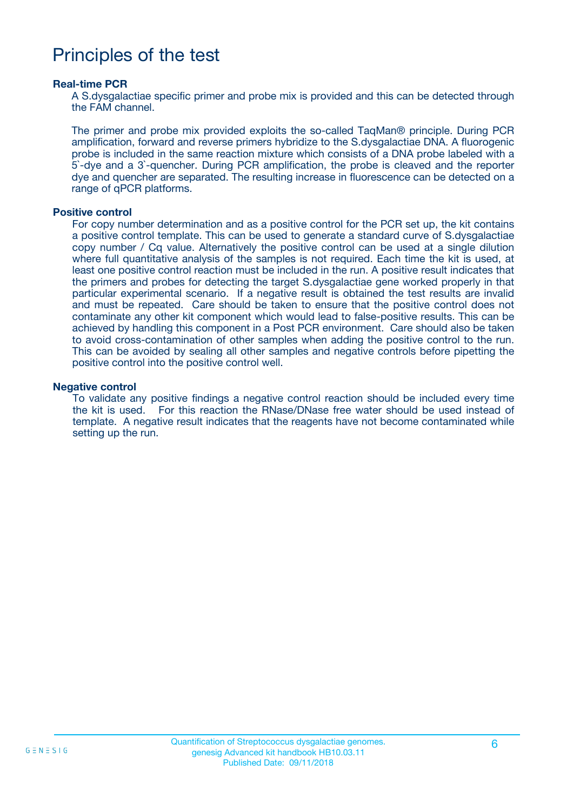### Principles of the test

#### **Real-time PCR**

A S.dysgalactiae specific primer and probe mix is provided and this can be detected through the FAM channel.

The primer and probe mix provided exploits the so-called TaqMan® principle. During PCR amplification, forward and reverse primers hybridize to the S.dysgalactiae DNA. A fluorogenic probe is included in the same reaction mixture which consists of a DNA probe labeled with a 5`-dye and a 3`-quencher. During PCR amplification, the probe is cleaved and the reporter dye and quencher are separated. The resulting increase in fluorescence can be detected on a range of qPCR platforms.

#### **Positive control**

For copy number determination and as a positive control for the PCR set up, the kit contains a positive control template. This can be used to generate a standard curve of S.dysgalactiae copy number / Cq value. Alternatively the positive control can be used at a single dilution where full quantitative analysis of the samples is not required. Each time the kit is used, at least one positive control reaction must be included in the run. A positive result indicates that the primers and probes for detecting the target S.dysgalactiae gene worked properly in that particular experimental scenario. If a negative result is obtained the test results are invalid and must be repeated. Care should be taken to ensure that the positive control does not contaminate any other kit component which would lead to false-positive results. This can be achieved by handling this component in a Post PCR environment. Care should also be taken to avoid cross-contamination of other samples when adding the positive control to the run. This can be avoided by sealing all other samples and negative controls before pipetting the positive control into the positive control well.

#### **Negative control**

To validate any positive findings a negative control reaction should be included every time the kit is used. For this reaction the RNase/DNase free water should be used instead of template. A negative result indicates that the reagents have not become contaminated while setting up the run.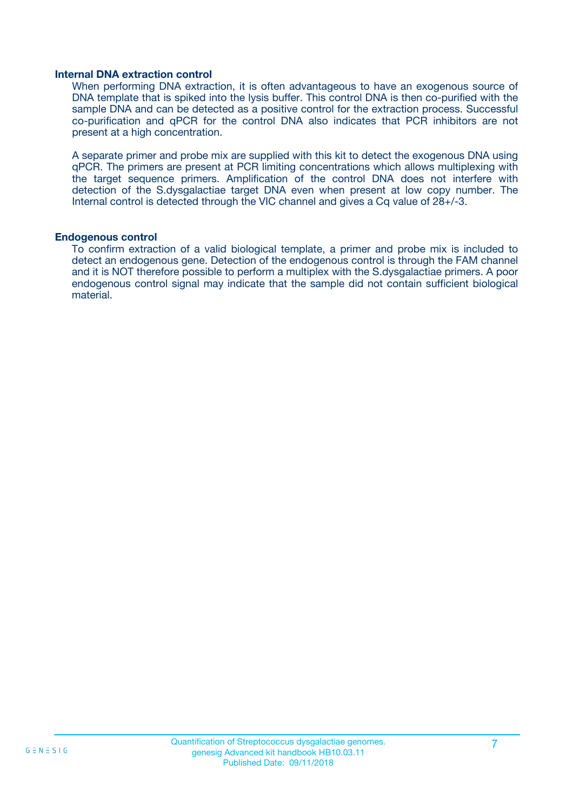#### **Internal DNA extraction control**

When performing DNA extraction, it is often advantageous to have an exogenous source of DNA template that is spiked into the lysis buffer. This control DNA is then co-purified with the sample DNA and can be detected as a positive control for the extraction process. Successful co-purification and qPCR for the control DNA also indicates that PCR inhibitors are not present at a high concentration.

A separate primer and probe mix are supplied with this kit to detect the exogenous DNA using qPCR. The primers are present at PCR limiting concentrations which allows multiplexing with the target sequence primers. Amplification of the control DNA does not interfere with detection of the S.dysgalactiae target DNA even when present at low copy number. The Internal control is detected through the VIC channel and gives a Cq value of 28+/-3.

#### **Endogenous control**

To confirm extraction of a valid biological template, a primer and probe mix is included to detect an endogenous gene. Detection of the endogenous control is through the FAM channel and it is NOT therefore possible to perform a multiplex with the S.dysgalactiae primers. A poor endogenous control signal may indicate that the sample did not contain sufficient biological material.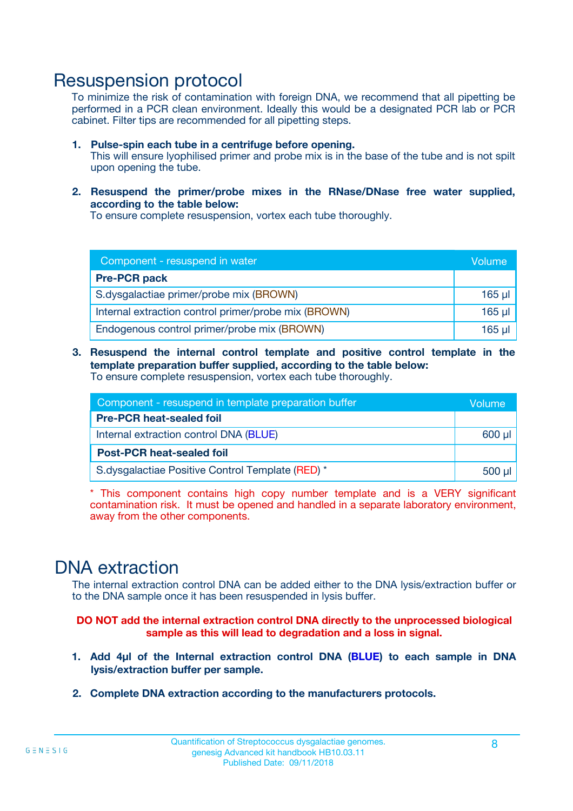### Resuspension protocol

To minimize the risk of contamination with foreign DNA, we recommend that all pipetting be performed in a PCR clean environment. Ideally this would be a designated PCR lab or PCR cabinet. Filter tips are recommended for all pipetting steps.

- **1. Pulse-spin each tube in a centrifuge before opening.** This will ensure lyophilised primer and probe mix is in the base of the tube and is not spilt upon opening the tube.
- **2. Resuspend the primer/probe mixes in the RNase/DNase free water supplied, according to the table below:**

To ensure complete resuspension, vortex each tube thoroughly.

| Component - resuspend in water                       |          |  |
|------------------------------------------------------|----------|--|
| <b>Pre-PCR pack</b>                                  |          |  |
| S.dysgalactiae primer/probe mix (BROWN)              | $165$ µl |  |
| Internal extraction control primer/probe mix (BROWN) | $165$ µl |  |
| Endogenous control primer/probe mix (BROWN)          | 165 µl   |  |

**3. Resuspend the internal control template and positive control template in the template preparation buffer supplied, according to the table below:** To ensure complete resuspension, vortex each tube thoroughly.

| Component - resuspend in template preparation buffer |  |  |  |
|------------------------------------------------------|--|--|--|
| <b>Pre-PCR heat-sealed foil</b>                      |  |  |  |
| Internal extraction control DNA (BLUE)               |  |  |  |
| <b>Post-PCR heat-sealed foil</b>                     |  |  |  |
| S.dysgalactiae Positive Control Template (RED) *     |  |  |  |

\* This component contains high copy number template and is a VERY significant contamination risk. It must be opened and handled in a separate laboratory environment, away from the other components.

### DNA extraction

The internal extraction control DNA can be added either to the DNA lysis/extraction buffer or to the DNA sample once it has been resuspended in lysis buffer.

**DO NOT add the internal extraction control DNA directly to the unprocessed biological sample as this will lead to degradation and a loss in signal.**

- **1. Add 4µl of the Internal extraction control DNA (BLUE) to each sample in DNA lysis/extraction buffer per sample.**
- **2. Complete DNA extraction according to the manufacturers protocols.**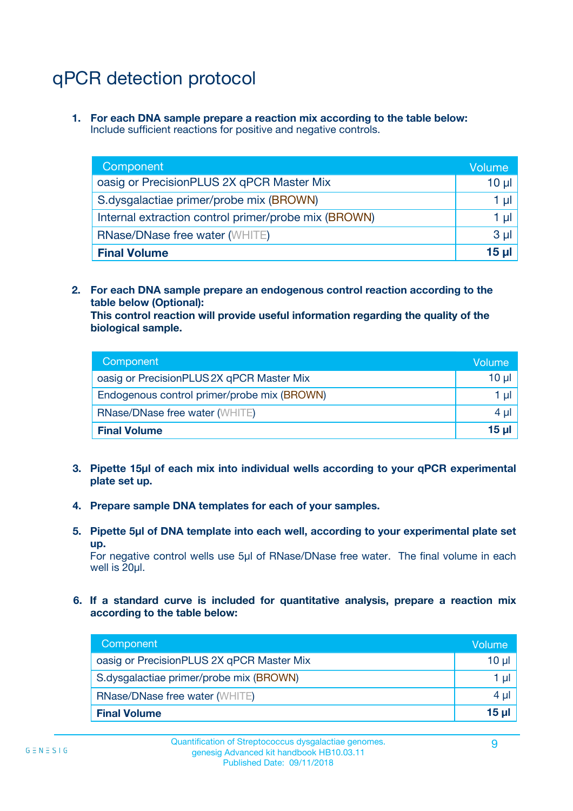# qPCR detection protocol

**1. For each DNA sample prepare a reaction mix according to the table below:** Include sufficient reactions for positive and negative controls.

| Component <sup>'</sup>                               | Volume   |
|------------------------------------------------------|----------|
| oasig or PrecisionPLUS 2X qPCR Master Mix            | $10 \mu$ |
| S.dysgalactiae primer/probe mix (BROWN)              | 1 µI     |
| Internal extraction control primer/probe mix (BROWN) | 1 µl     |
| <b>RNase/DNase free water (WHITE)</b>                | $3 \mu$  |
| <b>Final Volume</b>                                  | 15 ul    |

**2. For each DNA sample prepare an endogenous control reaction according to the table below (Optional):**

**This control reaction will provide useful information regarding the quality of the biological sample.**

| Component                                   | Volume          |
|---------------------------------------------|-----------------|
| oasig or PrecisionPLUS 2X qPCR Master Mix   | $10 \mu$        |
| Endogenous control primer/probe mix (BROWN) | 1 µI            |
| <b>RNase/DNase free water (WHITE)</b>       | 4 µl            |
| <b>Final Volume</b>                         | 15 <sub>µ</sub> |

- **3. Pipette 15µl of each mix into individual wells according to your qPCR experimental plate set up.**
- **4. Prepare sample DNA templates for each of your samples.**
- **5. Pipette 5µl of DNA template into each well, according to your experimental plate set up.**

For negative control wells use 5µl of RNase/DNase free water. The final volume in each well is 20ul.

**6. If a standard curve is included for quantitative analysis, prepare a reaction mix according to the table below:**

| Component                                 | Volume          |
|-------------------------------------------|-----------------|
| oasig or PrecisionPLUS 2X qPCR Master Mix | $10 \mu$        |
| S.dysgalactiae primer/probe mix (BROWN)   | 1 µI I          |
| <b>RNase/DNase free water (WHITE)</b>     | $4 \mu$         |
| <b>Final Volume</b>                       | 15 <sub>µ</sub> |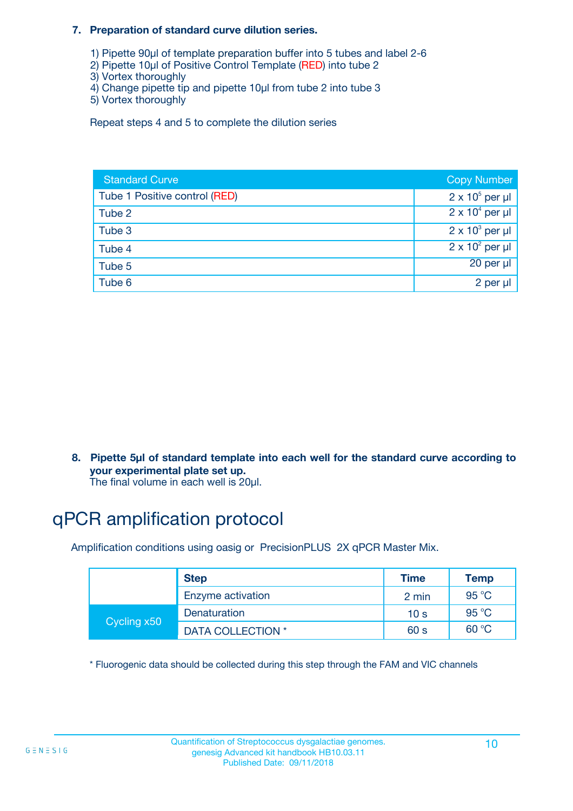#### **7. Preparation of standard curve dilution series.**

- 1) Pipette 90µl of template preparation buffer into 5 tubes and label 2-6
- 2) Pipette 10µl of Positive Control Template (RED) into tube 2
- 3) Vortex thoroughly
- 4) Change pipette tip and pipette 10µl from tube 2 into tube 3
- 5) Vortex thoroughly

Repeat steps 4 and 5 to complete the dilution series

| <b>Standard Curve</b>         | <b>Copy Number</b>     |
|-------------------------------|------------------------|
| Tube 1 Positive control (RED) | $2 \times 10^5$ per µl |
| Tube 2                        | $2 \times 10^4$ per µl |
| Tube 3                        | $2 \times 10^3$ per µl |
| Tube 4                        | $2 \times 10^2$ per µl |
| Tube 5                        | 20 per µl              |
| Tube 6                        | 2 per µl               |

**8. Pipette 5µl of standard template into each well for the standard curve according to your experimental plate set up.**

#### The final volume in each well is 20µl.

# qPCR amplification protocol

Amplification conditions using oasig or PrecisionPLUS 2X qPCR Master Mix.

|             | <b>Step</b>       | <b>Time</b>     | Temp    |
|-------------|-------------------|-----------------|---------|
|             | Enzyme activation | 2 min           | 95 °C   |
| Cycling x50 | Denaturation      | 10 <sub>s</sub> | 95 $°C$ |
|             | DATA COLLECTION * | 60 s            | 60 °C   |

\* Fluorogenic data should be collected during this step through the FAM and VIC channels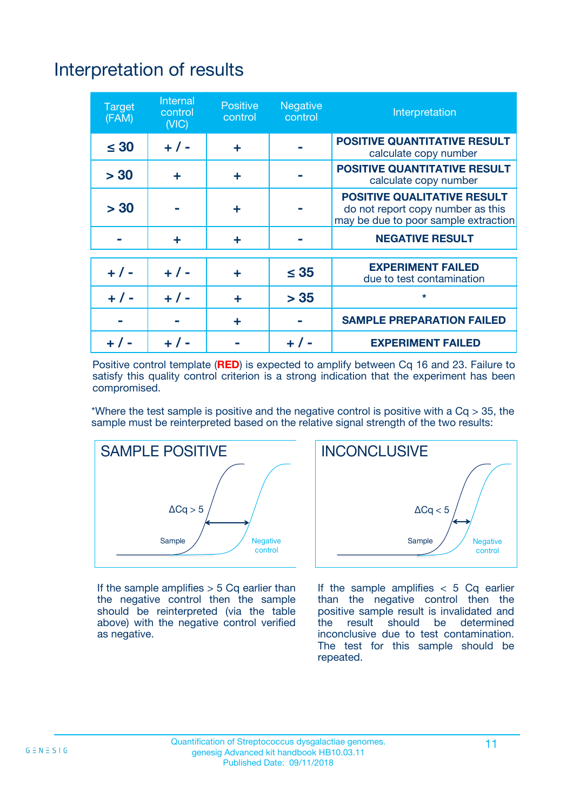# Interpretation of results

| <b>Target</b><br>(FAM) | <b>Internal</b><br>control<br>(NIC) | <b>Positive</b><br>control | <b>Negative</b><br>control | Interpretation                                                                                                  |
|------------------------|-------------------------------------|----------------------------|----------------------------|-----------------------------------------------------------------------------------------------------------------|
| $\leq 30$              | $+ 1 -$                             | ÷                          |                            | <b>POSITIVE QUANTITATIVE RESULT</b><br>calculate copy number                                                    |
| > 30                   | ٠                                   | ÷                          |                            | <b>POSITIVE QUANTITATIVE RESULT</b><br>calculate copy number                                                    |
| > 30                   |                                     | ÷                          |                            | <b>POSITIVE QUALITATIVE RESULT</b><br>do not report copy number as this<br>may be due to poor sample extraction |
|                        | ÷                                   | ÷                          |                            | <b>NEGATIVE RESULT</b>                                                                                          |
| $+ 1 -$                | $+ 1 -$                             | ÷                          | $\leq$ 35                  | <b>EXPERIMENT FAILED</b><br>due to test contamination                                                           |
| $+$ / -                | $+ 1 -$                             | ÷                          | > 35                       | $\star$                                                                                                         |
|                        |                                     | ÷                          |                            | <b>SAMPLE PREPARATION FAILED</b>                                                                                |
|                        |                                     |                            | $+$ /                      | <b>EXPERIMENT FAILED</b>                                                                                        |

Positive control template (**RED**) is expected to amplify between Cq 16 and 23. Failure to satisfy this quality control criterion is a strong indication that the experiment has been compromised.

\*Where the test sample is positive and the negative control is positive with a  $Ca > 35$ , the sample must be reinterpreted based on the relative signal strength of the two results:



If the sample amplifies  $> 5$  Cq earlier than the negative control then the sample should be reinterpreted (via the table above) with the negative control verified as negative.



If the sample amplifies  $< 5$  Cq earlier than the negative control then the positive sample result is invalidated and<br>the result should be determined  $the$  result should be inconclusive due to test contamination. The test for this sample should be repeated.